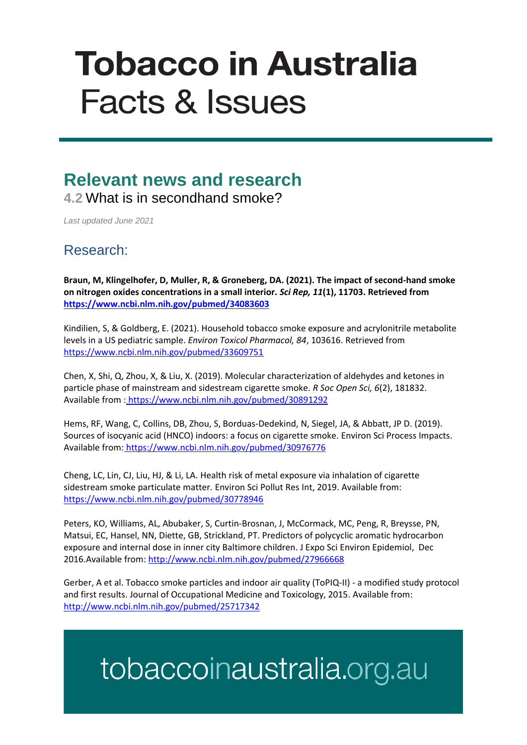# **Tobacco in Australia Facts & Issues**

## **Relevant news and research 4.2** What is in secondhand smoke?

*Last updated June 2021*

### Research:

**Braun, M, Klingelhofer, D, Muller, R, & Groneberg, DA. (2021). The impact of second-hand smoke on nitrogen oxides concentrations in a small interior.** *Sci Rep, 11***(1), 11703. Retrieved from <https://www.ncbi.nlm.nih.gov/pubmed/34083603>**

Kindilien, S, & Goldberg, E. (2021). Household tobacco smoke exposure and acrylonitrile metabolite levels in a US pediatric sample. *Environ Toxicol Pharmacol, 84*, 103616. Retrieved from <https://www.ncbi.nlm.nih.gov/pubmed/33609751>

Chen, X, Shi, Q, Zhou, X, & Liu, X. (2019). Molecular characterization of aldehydes and ketones in particle phase of mainstream and sidestream cigarette smoke. *R Soc Open Sci, 6*(2), 181832. Available from : <https://www.ncbi.nlm.nih.gov/pubmed/30891292>

Hems, RF, Wang, C, Collins, DB, Zhou, S, Borduas-Dedekind, N, Siegel, JA, & Abbatt, JP D. (2019). Sources of isocyanic acid (HNCO) indoors: a focus on cigarette smoke. Environ Sci Process Impacts. Available from: <https://www.ncbi.nlm.nih.gov/pubmed/30976776>

Cheng, LC, Lin, CJ, Liu, HJ, & Li, LA. Health risk of metal exposure via inhalation of cigarette sidestream smoke particulate matter. Environ Sci Pollut Res Int, 2019. Available from: <https://www.ncbi.nlm.nih.gov/pubmed/30778946>

Peters, KO, Williams, AL, Abubaker, S, Curtin-Brosnan, J, McCormack, MC, Peng, R, Breysse, PN, Matsui, EC, Hansel, NN, Diette, GB, Strickland, PT. Predictors of polycyclic aromatic hydrocarbon exposure and internal dose in inner city Baltimore children. J Expo Sci Environ Epidemiol, Dec 2016.Available from[: http://www.ncbi.nlm.nih.gov/pubmed/27966668](http://www.ncbi.nlm.nih.gov/pubmed/27966668)

Gerber, A et al. Tobacco smoke particles and indoor air quality (ToPIQ-II) - a modified study protocol and first results. Journal of Occupational Medicine and Toxicology, 2015. Available from: <http://www.ncbi.nlm.nih.gov/pubmed/25717342>

# tobaccoinaustralia.org.au